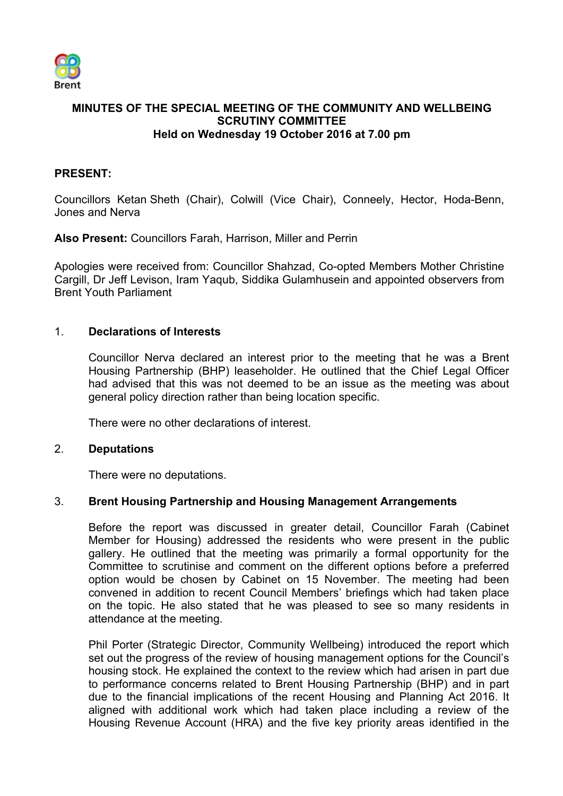

# **MINUTES OF THE SPECIAL MEETING OF THE COMMUNITY AND WELLBEING SCRUTINY COMMITTEE Held on Wednesday 19 October 2016 at 7.00 pm**

# **PRESENT:**

Councillors Ketan Sheth (Chair), Colwill (Vice Chair), Conneely, Hector, Hoda-Benn, Jones and Nerva

**Also Present:** Councillors Farah, Harrison, Miller and Perrin

Apologies were received from: Councillor Shahzad, Co-opted Members Mother Christine Cargill, Dr Jeff Levison, Iram Yaqub, Siddika Gulamhusein and appointed observers from Brent Youth Parliament

### 1. **Declarations of Interests**

Councillor Nerva declared an interest prior to the meeting that he was a Brent Housing Partnership (BHP) leaseholder. He outlined that the Chief Legal Officer had advised that this was not deemed to be an issue as the meeting was about general policy direction rather than being location specific.

There were no other declarations of interest.

#### 2. **Deputations**

There were no deputations.

#### 3. **Brent Housing Partnership and Housing Management Arrangements**

Before the report was discussed in greater detail, Councillor Farah (Cabinet Member for Housing) addressed the residents who were present in the public gallery. He outlined that the meeting was primarily a formal opportunity for the Committee to scrutinise and comment on the different options before a preferred option would be chosen by Cabinet on 15 November. The meeting had been convened in addition to recent Council Members' briefings which had taken place on the topic. He also stated that he was pleased to see so many residents in attendance at the meeting.

Phil Porter (Strategic Director, Community Wellbeing) introduced the report which set out the progress of the review of housing management options for the Council's housing stock. He explained the context to the review which had arisen in part due to performance concerns related to Brent Housing Partnership (BHP) and in part due to the financial implications of the recent Housing and Planning Act 2016. It aligned with additional work which had taken place including a review of the Housing Revenue Account (HRA) and the five key priority areas identified in the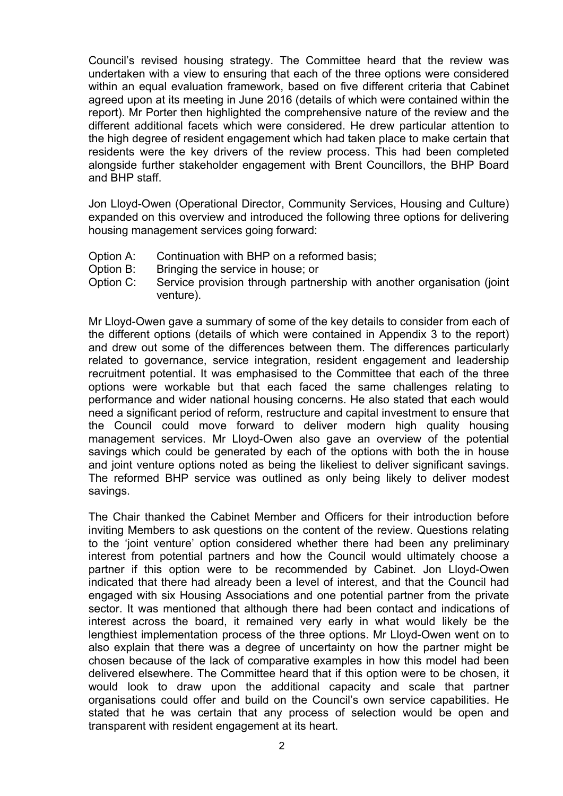Council's revised housing strategy. The Committee heard that the review was undertaken with a view to ensuring that each of the three options were considered within an equal evaluation framework, based on five different criteria that Cabinet agreed upon at its meeting in June 2016 (details of which were contained within the report). Mr Porter then highlighted the comprehensive nature of the review and the different additional facets which were considered. He drew particular attention to the high degree of resident engagement which had taken place to make certain that residents were the key drivers of the review process. This had been completed alongside further stakeholder engagement with Brent Councillors, the BHP Board and BHP staff.

Jon Lloyd-Owen (Operational Director, Community Services, Housing and Culture) expanded on this overview and introduced the following three options for delivering housing management services going forward:

- Option A: Continuation with BHP on a reformed basis;
- Option B: Bringing the service in house; or
- Option C: Service provision through partnership with another organisation (joint venture).

Mr Lloyd-Owen gave a summary of some of the key details to consider from each of the different options (details of which were contained in Appendix 3 to the report) and drew out some of the differences between them. The differences particularly related to governance, service integration, resident engagement and leadership recruitment potential. It was emphasised to the Committee that each of the three options were workable but that each faced the same challenges relating to performance and wider national housing concerns. He also stated that each would need a significant period of reform, restructure and capital investment to ensure that the Council could move forward to deliver modern high quality housing management services. Mr Lloyd-Owen also gave an overview of the potential savings which could be generated by each of the options with both the in house and joint venture options noted as being the likeliest to deliver significant savings. The reformed BHP service was outlined as only being likely to deliver modest savings.

The Chair thanked the Cabinet Member and Officers for their introduction before inviting Members to ask questions on the content of the review. Questions relating to the 'joint venture' option considered whether there had been any preliminary interest from potential partners and how the Council would ultimately choose a partner if this option were to be recommended by Cabinet. Jon Lloyd-Owen indicated that there had already been a level of interest, and that the Council had engaged with six Housing Associations and one potential partner from the private sector. It was mentioned that although there had been contact and indications of interest across the board, it remained very early in what would likely be the lengthiest implementation process of the three options. Mr Lloyd-Owen went on to also explain that there was a degree of uncertainty on how the partner might be chosen because of the lack of comparative examples in how this model had been delivered elsewhere. The Committee heard that if this option were to be chosen, it would look to draw upon the additional capacity and scale that partner organisations could offer and build on the Council's own service capabilities. He stated that he was certain that any process of selection would be open and transparent with resident engagement at its heart.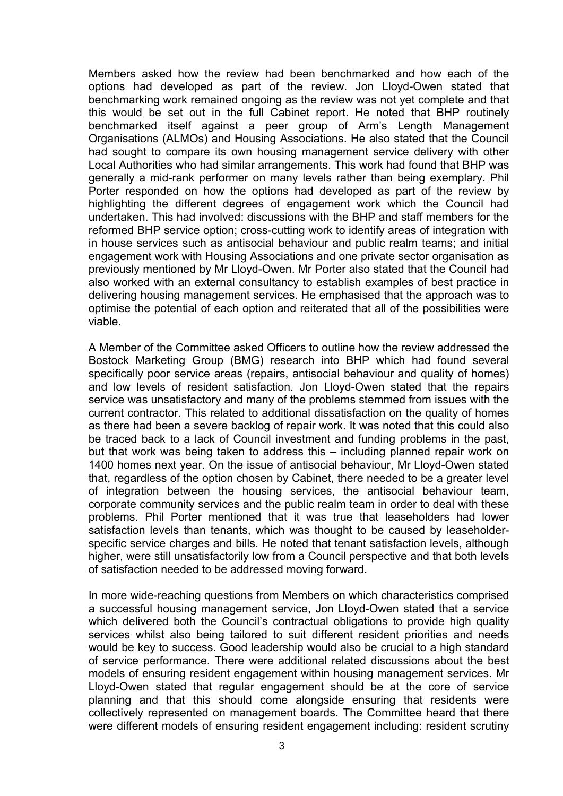Members asked how the review had been benchmarked and how each of the options had developed as part of the review. Jon Lloyd-Owen stated that benchmarking work remained ongoing as the review was not yet complete and that this would be set out in the full Cabinet report. He noted that BHP routinely benchmarked itself against a peer group of Arm's Length Management Organisations (ALMOs) and Housing Associations. He also stated that the Council had sought to compare its own housing management service delivery with other Local Authorities who had similar arrangements. This work had found that BHP was generally a mid-rank performer on many levels rather than being exemplary. Phil Porter responded on how the options had developed as part of the review by highlighting the different degrees of engagement work which the Council had undertaken. This had involved: discussions with the BHP and staff members for the reformed BHP service option; cross-cutting work to identify areas of integration with in house services such as antisocial behaviour and public realm teams; and initial engagement work with Housing Associations and one private sector organisation as previously mentioned by Mr Lloyd-Owen. Mr Porter also stated that the Council had also worked with an external consultancy to establish examples of best practice in delivering housing management services. He emphasised that the approach was to optimise the potential of each option and reiterated that all of the possibilities were viable.

A Member of the Committee asked Officers to outline how the review addressed the Bostock Marketing Group (BMG) research into BHP which had found several specifically poor service areas (repairs, antisocial behaviour and quality of homes) and low levels of resident satisfaction. Jon Lloyd-Owen stated that the repairs service was unsatisfactory and many of the problems stemmed from issues with the current contractor. This related to additional dissatisfaction on the quality of homes as there had been a severe backlog of repair work. It was noted that this could also be traced back to a lack of Council investment and funding problems in the past, but that work was being taken to address this – including planned repair work on 1400 homes next year. On the issue of antisocial behaviour, Mr Lloyd-Owen stated that, regardless of the option chosen by Cabinet, there needed to be a greater level of integration between the housing services, the antisocial behaviour team, corporate community services and the public realm team in order to deal with these problems. Phil Porter mentioned that it was true that leaseholders had lower satisfaction levels than tenants, which was thought to be caused by leaseholderspecific service charges and bills. He noted that tenant satisfaction levels, although higher, were still unsatisfactorily low from a Council perspective and that both levels of satisfaction needed to be addressed moving forward.

In more wide-reaching questions from Members on which characteristics comprised a successful housing management service, Jon Lloyd-Owen stated that a service which delivered both the Council's contractual obligations to provide high quality services whilst also being tailored to suit different resident priorities and needs would be key to success. Good leadership would also be crucial to a high standard of service performance. There were additional related discussions about the best models of ensuring resident engagement within housing management services. Mr Lloyd-Owen stated that regular engagement should be at the core of service planning and that this should come alongside ensuring that residents were collectively represented on management boards. The Committee heard that there were different models of ensuring resident engagement including: resident scrutiny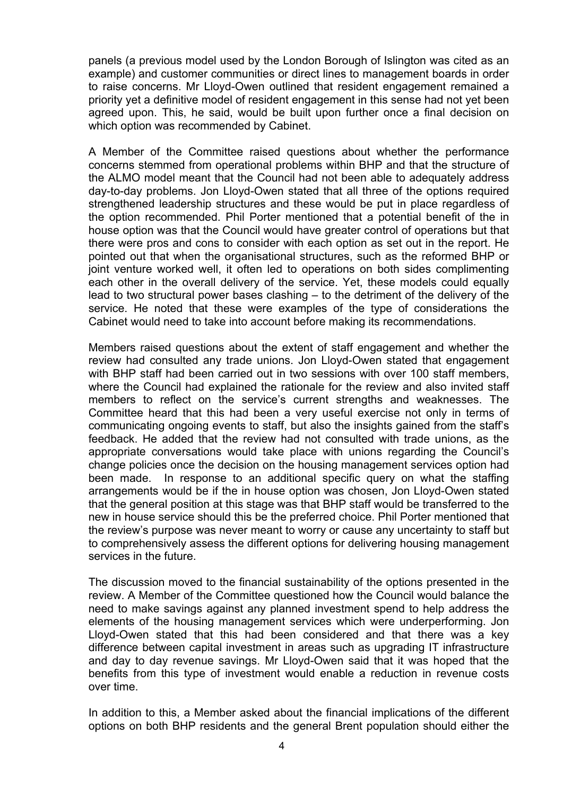panels (a previous model used by the London Borough of Islington was cited as an example) and customer communities or direct lines to management boards in order to raise concerns. Mr Lloyd-Owen outlined that resident engagement remained a priority yet a definitive model of resident engagement in this sense had not yet been agreed upon. This, he said, would be built upon further once a final decision on which option was recommended by Cabinet.

A Member of the Committee raised questions about whether the performance concerns stemmed from operational problems within BHP and that the structure of the ALMO model meant that the Council had not been able to adequately address day-to-day problems. Jon Lloyd-Owen stated that all three of the options required strengthened leadership structures and these would be put in place regardless of the option recommended. Phil Porter mentioned that a potential benefit of the in house option was that the Council would have greater control of operations but that there were pros and cons to consider with each option as set out in the report. He pointed out that when the organisational structures, such as the reformed BHP or joint venture worked well, it often led to operations on both sides complimenting each other in the overall delivery of the service. Yet, these models could equally lead to two structural power bases clashing – to the detriment of the delivery of the service. He noted that these were examples of the type of considerations the Cabinet would need to take into account before making its recommendations.

Members raised questions about the extent of staff engagement and whether the review had consulted any trade unions. Jon Lloyd-Owen stated that engagement with BHP staff had been carried out in two sessions with over 100 staff members, where the Council had explained the rationale for the review and also invited staff members to reflect on the service's current strengths and weaknesses. The Committee heard that this had been a very useful exercise not only in terms of communicating ongoing events to staff, but also the insights gained from the staff's feedback. He added that the review had not consulted with trade unions, as the appropriate conversations would take place with unions regarding the Council's change policies once the decision on the housing management services option had been made. In response to an additional specific query on what the staffing arrangements would be if the in house option was chosen, Jon Lloyd-Owen stated that the general position at this stage was that BHP staff would be transferred to the new in house service should this be the preferred choice. Phil Porter mentioned that the review's purpose was never meant to worry or cause any uncertainty to staff but to comprehensively assess the different options for delivering housing management services in the future.

The discussion moved to the financial sustainability of the options presented in the review. A Member of the Committee questioned how the Council would balance the need to make savings against any planned investment spend to help address the elements of the housing management services which were underperforming. Jon Lloyd-Owen stated that this had been considered and that there was a key difference between capital investment in areas such as upgrading IT infrastructure and day to day revenue savings. Mr Lloyd-Owen said that it was hoped that the benefits from this type of investment would enable a reduction in revenue costs over time.

In addition to this, a Member asked about the financial implications of the different options on both BHP residents and the general Brent population should either the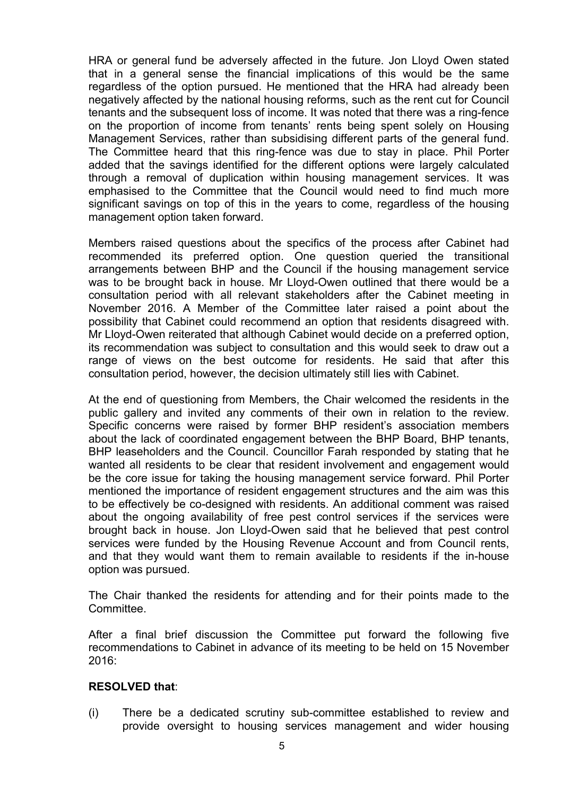HRA or general fund be adversely affected in the future. Jon Lloyd Owen stated that in a general sense the financial implications of this would be the same regardless of the option pursued. He mentioned that the HRA had already been negatively affected by the national housing reforms, such as the rent cut for Council tenants and the subsequent loss of income. It was noted that there was a ring-fence on the proportion of income from tenants' rents being spent solely on Housing Management Services, rather than subsidising different parts of the general fund. The Committee heard that this ring-fence was due to stay in place. Phil Porter added that the savings identified for the different options were largely calculated through a removal of duplication within housing management services. It was emphasised to the Committee that the Council would need to find much more significant savings on top of this in the years to come, regardless of the housing management option taken forward.

Members raised questions about the specifics of the process after Cabinet had recommended its preferred option. One question queried the transitional arrangements between BHP and the Council if the housing management service was to be brought back in house. Mr Lloyd-Owen outlined that there would be a consultation period with all relevant stakeholders after the Cabinet meeting in November 2016. A Member of the Committee later raised a point about the possibility that Cabinet could recommend an option that residents disagreed with. Mr Lloyd-Owen reiterated that although Cabinet would decide on a preferred option, its recommendation was subject to consultation and this would seek to draw out a range of views on the best outcome for residents. He said that after this consultation period, however, the decision ultimately still lies with Cabinet.

At the end of questioning from Members, the Chair welcomed the residents in the public gallery and invited any comments of their own in relation to the review. Specific concerns were raised by former BHP resident's association members about the lack of coordinated engagement between the BHP Board, BHP tenants, BHP leaseholders and the Council. Councillor Farah responded by stating that he wanted all residents to be clear that resident involvement and engagement would be the core issue for taking the housing management service forward. Phil Porter mentioned the importance of resident engagement structures and the aim was this to be effectively be co-designed with residents. An additional comment was raised about the ongoing availability of free pest control services if the services were brought back in house. Jon Lloyd-Owen said that he believed that pest control services were funded by the Housing Revenue Account and from Council rents, and that they would want them to remain available to residents if the in-house option was pursued.

The Chair thanked the residents for attending and for their points made to the Committee.

After a final brief discussion the Committee put forward the following five recommendations to Cabinet in advance of its meeting to be held on 15 November 2016:

#### **RESOLVED that**:

(i) There be a dedicated scrutiny sub-committee established to review and provide oversight to housing services management and wider housing